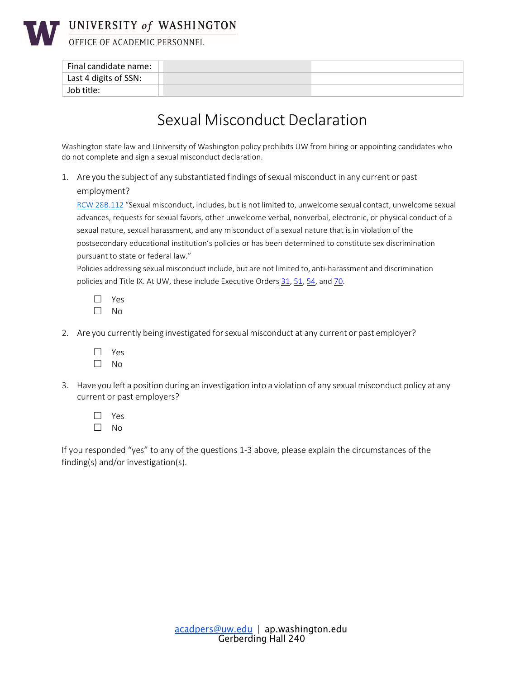

# UNIVERSITY of WASHINGTON

OFFICE OF ACADEMIC PERSONNEL

| Final candidate name: |  |
|-----------------------|--|
| Last 4 digits of SSN: |  |
| Job title:            |  |

## Sexual Misconduct Declaration

Washington state law and University of Washington policy prohibits UW from hiring or appointing candidates who do not complete and sign a sexual misconduct declaration.

1. Are you the subject of any substantiated findings of sexual misconduct in any current or past employment?

RCW 28B.112 "Sexual misconduct, includes, but is not limited to, unwelcome sexual contact, unwelcome sexual advances, requests for sexual favors, other unwelcome verbal, nonverbal, electronic, or physical conduct of a sexual nature, sexual harassment, and any misconduct of a sexual nature that is in violation of the postsecondary educational institution's policies or has been determined to constitute sex discrimination pursuant to state or federal law."

Policies addressing sexual misconduct include, but are not limited to, anti-harassment and discrimination policies and Title IX. At UW, these include Executive Orders [31,](https://www.washington.edu/admin/rules/policies/PO/EO31.html) [51,](https://www.washington.edu/admin/rules/policies/PO/EO31.html) [54,](https://www.washington.edu/admin/rules/policies/PO/EO54.html) and [70.](http://www.washington.edu/admin/rules/policies/PO/EO70.html)

- ☐ Yes ☐ No
- 2. Are you currently being investigated forsexual misconduct at any current or past employer?
	- ☐ Yes
	- ☐ No
- 3. Have you left a position during an investigation into a violation of any sexual misconduct policy at any current or past employers?
	- ☐ Yes ☐ No

If you responded "yes" to any of the questions 1-3 above, please explain the circumstances of the finding(s) and/or investigation(s).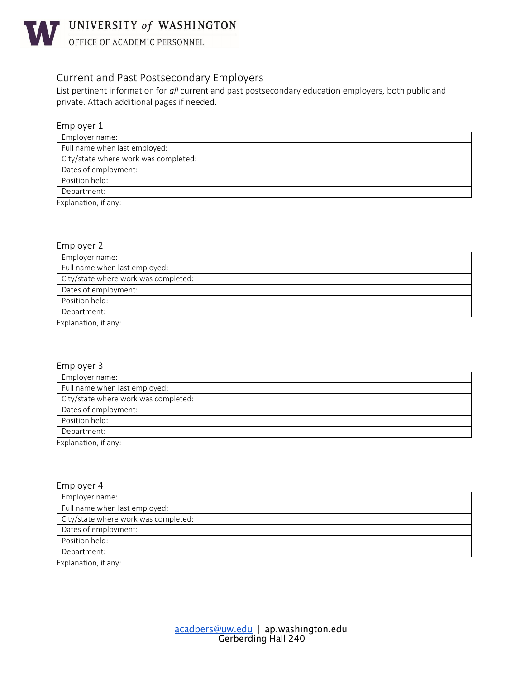

**WASHINGTON** UNIVERSITY of WASHINGTON

#### Current and Past Postsecondary Employers

List pertinent information for *all* current and past postsecondary education employers, both public and private. Attach additional pages if needed.

| Employer 1                           |  |
|--------------------------------------|--|
| Employer name:                       |  |
| Full name when last employed:        |  |
| City/state where work was completed: |  |
| Dates of employment:                 |  |
| Position held:                       |  |
| Department:                          |  |
| F                                    |  |

Explanation, if any:

#### Employer 2

| Employer name:                       |  |
|--------------------------------------|--|
| Full name when last employed:        |  |
| City/state where work was completed: |  |
| Dates of employment:                 |  |
| Position held:                       |  |
| Department:                          |  |
| Explanation, if any:                 |  |

|--|

| Employer name:                       |  |
|--------------------------------------|--|
| Full name when last employed:        |  |
| City/state where work was completed: |  |
| Dates of employment:                 |  |
| Position held:                       |  |
| Department:                          |  |
| _                                    |  |

Explanation, if any:

#### Employer 4

| Employer name:                       |  |
|--------------------------------------|--|
| Full name when last employed:        |  |
| City/state where work was completed: |  |
| Dates of employment:                 |  |
| Position held:                       |  |
| Department:                          |  |

Explanation, if any: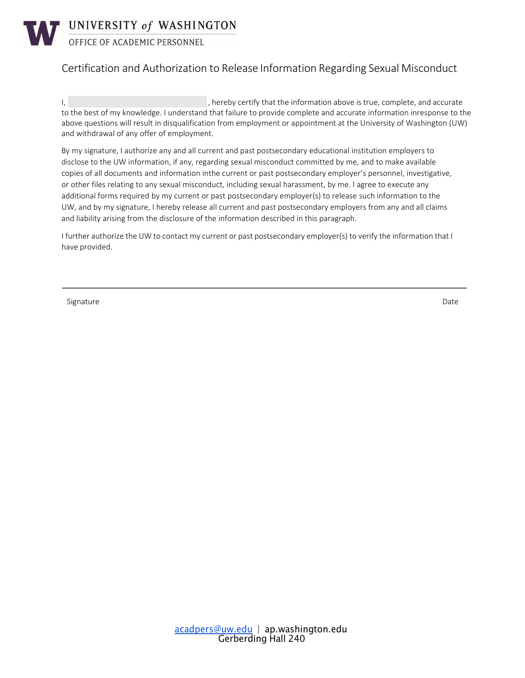

OFFICE OF ACADEMIC PERSONNEL

### Certification and Authorization to Release Information Regarding Sexual Misconduct

I, the information above is true, complete, and accurate to the best of my knowledge. I understand that failure to provide complete and accurate information inresponse to the above questions will result in disqualification from employment or appointment at the University of Washington (UW) and withdrawal of any offer of employment.

By my signature, I authorize any and all current and past postsecondary educational institution employers to disclose to the UW information, if any, regarding sexual misconduct committed by me, and to make available copies of all documents and information inthe current or past postsecondary employer's personnel, investigative, or other files relating to any sexual misconduct, including sexual harassment, by me. I agree to execute any additional forms required by my current or past postsecondary employer(s) to release such information to the UW, and by my signature, I hereby release all current and past postsecondary employers from any and all claims and liability arising from the disclosure of the information described in this paragraph.

I further authorize the UW to contact my current or past postsecondary employer(s) to verify the information that I have provided.

Signature Date Date of the State of the State of the State of the Date of the Date of the Date of the Date of the Date of the Date of the Date of the Date of the Date of the Date of the Date of the Date of the Date of the